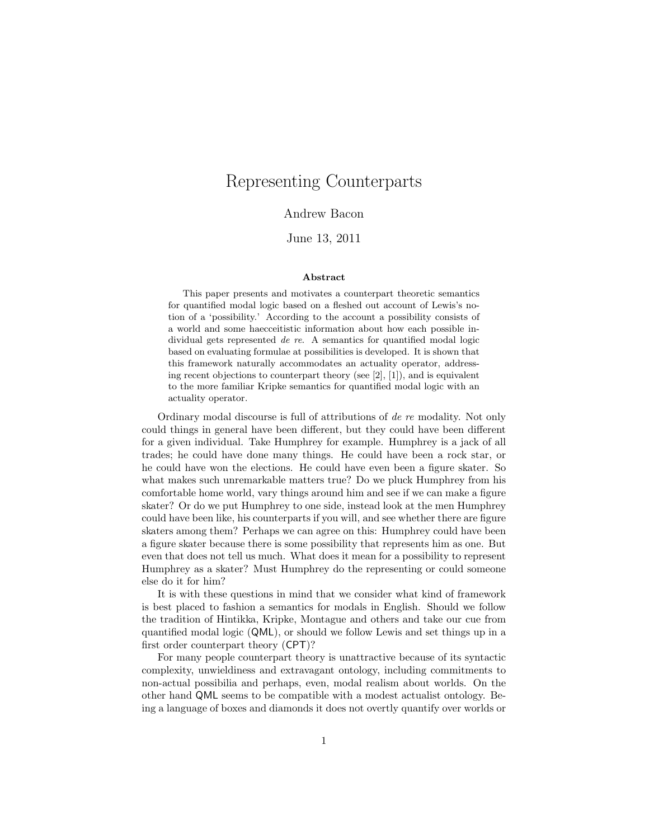# Representing Counterparts

#### Andrew Bacon

#### June 13, 2011

#### Abstract

This paper presents and motivates a counterpart theoretic semantics for quantified modal logic based on a fleshed out account of Lewis's notion of a 'possibility.' According to the account a possibility consists of a world and some haecceitistic information about how each possible individual gets represented de re. A semantics for quantified modal logic based on evaluating formulae at possibilities is developed. It is shown that this framework naturally accommodates an actuality operator, addressing recent objections to counterpart theory (see [2], [1]), and is equivalent to the more familiar Kripke semantics for quantified modal logic with an actuality operator.

Ordinary modal discourse is full of attributions of de re modality. Not only could things in general have been different, but they could have been different for a given individual. Take Humphrey for example. Humphrey is a jack of all trades; he could have done many things. He could have been a rock star, or he could have won the elections. He could have even been a figure skater. So what makes such unremarkable matters true? Do we pluck Humphrey from his comfortable home world, vary things around him and see if we can make a figure skater? Or do we put Humphrey to one side, instead look at the men Humphrey could have been like, his counterparts if you will, and see whether there are figure skaters among them? Perhaps we can agree on this: Humphrey could have been a figure skater because there is some possibility that represents him as one. But even that does not tell us much. What does it mean for a possibility to represent Humphrey as a skater? Must Humphrey do the representing or could someone else do it for him?

It is with these questions in mind that we consider what kind of framework is best placed to fashion a semantics for modals in English. Should we follow the tradition of Hintikka, Kripke, Montague and others and take our cue from quantified modal logic (QML), or should we follow Lewis and set things up in a first order counterpart theory (CPT)?

For many people counterpart theory is unattractive because of its syntactic complexity, unwieldiness and extravagant ontology, including commitments to non-actual possibilia and perhaps, even, modal realism about worlds. On the other hand QML seems to be compatible with a modest actualist ontology. Being a language of boxes and diamonds it does not overtly quantify over worlds or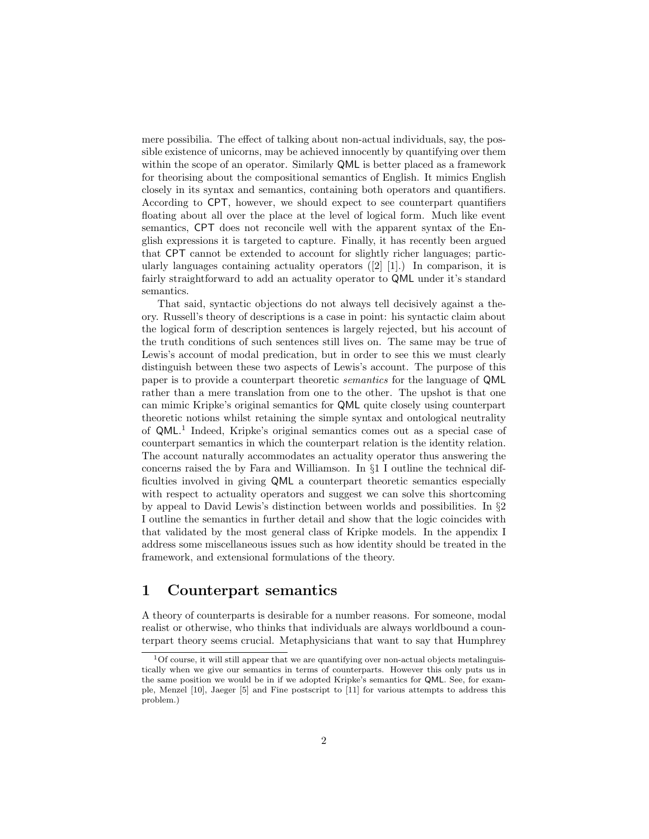mere possibilia. The effect of talking about non-actual individuals, say, the possible existence of unicorns, may be achieved innocently by quantifying over them within the scope of an operator. Similarly QML is better placed as a framework for theorising about the compositional semantics of English. It mimics English closely in its syntax and semantics, containing both operators and quantifiers. According to CPT, however, we should expect to see counterpart quantifiers floating about all over the place at the level of logical form. Much like event semantics, CPT does not reconcile well with the apparent syntax of the English expressions it is targeted to capture. Finally, it has recently been argued that CPT cannot be extended to account for slightly richer languages; particularly languages containing actuality operators ([2] [1].) In comparison, it is fairly straightforward to add an actuality operator to QML under it's standard semantics.

That said, syntactic objections do not always tell decisively against a theory. Russell's theory of descriptions is a case in point: his syntactic claim about the logical form of description sentences is largely rejected, but his account of the truth conditions of such sentences still lives on. The same may be true of Lewis's account of modal predication, but in order to see this we must clearly distinguish between these two aspects of Lewis's account. The purpose of this paper is to provide a counterpart theoretic semantics for the language of QML rather than a mere translation from one to the other. The upshot is that one can mimic Kripke's original semantics for QML quite closely using counterpart theoretic notions whilst retaining the simple syntax and ontological neutrality of QML. 1 Indeed, Kripke's original semantics comes out as a special case of counterpart semantics in which the counterpart relation is the identity relation. The account naturally accommodates an actuality operator thus answering the concerns raised the by Fara and Williamson. In §1 I outline the technical difficulties involved in giving QML a counterpart theoretic semantics especially with respect to actuality operators and suggest we can solve this shortcoming by appeal to David Lewis's distinction between worlds and possibilities. In §2 I outline the semantics in further detail and show that the logic coincides with that validated by the most general class of Kripke models. In the appendix I address some miscellaneous issues such as how identity should be treated in the framework, and extensional formulations of the theory.

# 1 Counterpart semantics

A theory of counterparts is desirable for a number reasons. For someone, modal realist or otherwise, who thinks that individuals are always worldbound a counterpart theory seems crucial. Metaphysicians that want to say that Humphrey

 $1$ Of course, it will still appear that we are quantifying over non-actual objects metalinguistically when we give our semantics in terms of counterparts. However this only puts us in the same position we would be in if we adopted Kripke's semantics for QML. See, for example, Menzel [10], Jaeger [5] and Fine postscript to [11] for various attempts to address this problem.)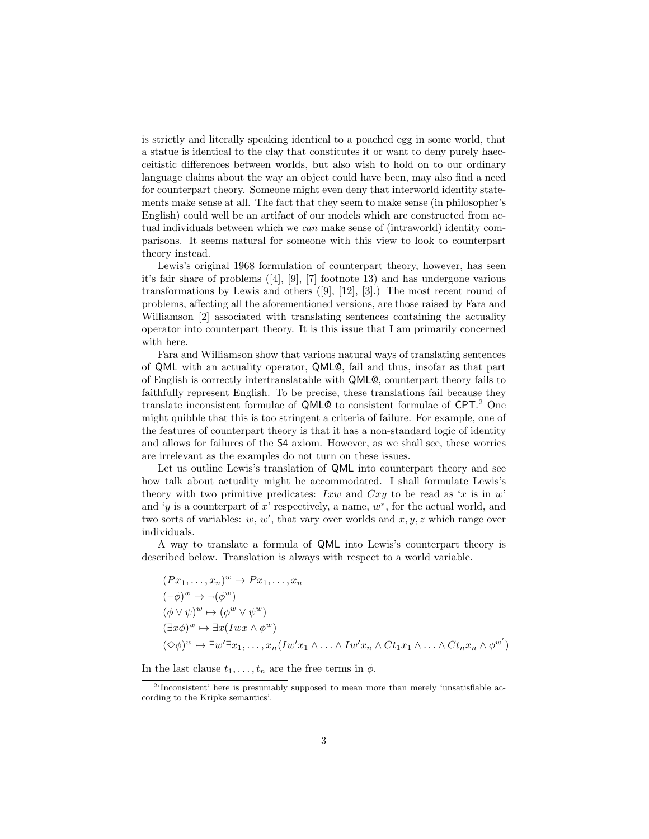is strictly and literally speaking identical to a poached egg in some world, that a statue is identical to the clay that constitutes it or want to deny purely haecceitistic differences between worlds, but also wish to hold on to our ordinary language claims about the way an object could have been, may also find a need for counterpart theory. Someone might even deny that interworld identity statements make sense at all. The fact that they seem to make sense (in philosopher's English) could well be an artifact of our models which are constructed from actual individuals between which we can make sense of (intraworld) identity comparisons. It seems natural for someone with this view to look to counterpart theory instead.

Lewis's original 1968 formulation of counterpart theory, however, has seen it's fair share of problems ([4], [9], [7] footnote 13) and has undergone various transformations by Lewis and others  $([9], [12], [3])$  The most recent round of problems, affecting all the aforementioned versions, are those raised by Fara and Williamson [2] associated with translating sentences containing the actuality operator into counterpart theory. It is this issue that I am primarily concerned with here.

Fara and Williamson show that various natural ways of translating sentences of QML with an actuality operator, QML@, fail and thus, insofar as that part of English is correctly intertranslatable with QML@, counterpart theory fails to faithfully represent English. To be precise, these translations fail because they translate inconsistent formulae of QML@ to consistent formulae of CPT. <sup>2</sup> One might quibble that this is too stringent a criteria of failure. For example, one of the features of counterpart theory is that it has a non-standard logic of identity and allows for failures of the S4 axiom. However, as we shall see, these worries are irrelevant as the examples do not turn on these issues.

Let us outline Lewis's translation of QML into counterpart theory and see how talk about actuality might be accommodated. I shall formulate Lewis's theory with two primitive predicates: Ixw and  $Cxy$  to be read as 'x is in w' and 'y is a counterpart of x' respectively, a name,  $w^*$ , for the actual world, and two sorts of variables:  $w, w'$ , that vary over worlds and  $x, y, z$  which range over individuals.

A way to translate a formula of QML into Lewis's counterpart theory is described below. Translation is always with respect to a world variable.

$$
(Px_1, ..., x_n)^w \mapsto Px_1, ..., x_n
$$
  
\n
$$
(\neg \phi)^w \mapsto \neg (\phi^w)
$$
  
\n
$$
(\phi \lor \psi)^w \mapsto (\phi^w \lor \psi^w)
$$
  
\n
$$
(\exists x \phi)^w \mapsto \exists x(Iwx \land \phi^w)
$$
  
\n
$$
(\Diamond \phi)^w \mapsto \exists w' \exists x_1, ..., x_n(Iw'x_1 \land ... \land Iw'x_n \land Ct_1x_1 \land ... \land Ct_nx_n \land \phi^{w'})
$$

In the last clause  $t_1, \ldots, t_n$  are the free terms in  $\phi$ .

<sup>&</sup>lt;sup>2</sup>'Inconsistent' here is presumably supposed to mean more than merely 'unsatisfiable according to the Kripke semantics'.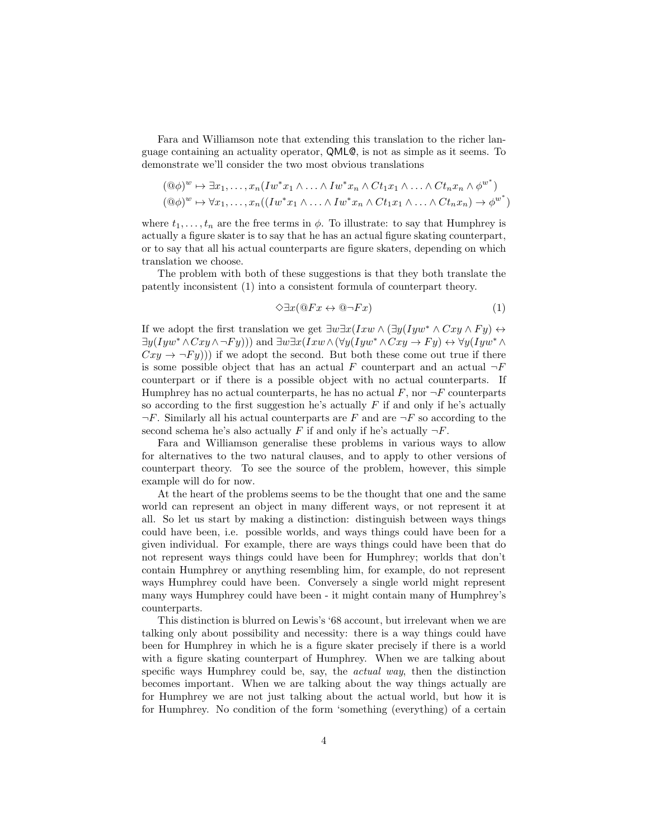Fara and Williamson note that extending this translation to the richer language containing an actuality operator, QML@, is not as simple as it seems. To demonstrate we'll consider the two most obvious translations

$$
(\mathbb{Q}\phi)^{w} \mapsto \exists x_{1}, \dots, x_{n} (I w^{*} x_{1} \wedge \dots \wedge I w^{*} x_{n} \wedge C t_{1} x_{1} \wedge \dots \wedge C t_{n} x_{n} \wedge \phi^{w^{*}})
$$
  

$$
(\mathbb{Q}\phi)^{w} \mapsto \forall x_{1}, \dots, x_{n} ((I w^{*} x_{1} \wedge \dots \wedge I w^{*} x_{n} \wedge C t_{1} x_{1} \wedge \dots \wedge C t_{n} x_{n}) \rightarrow \phi^{w^{*}})
$$

where  $t_1, \ldots, t_n$  are the free terms in  $\phi$ . To illustrate: to say that Humphrey is actually a figure skater is to say that he has an actual figure skating counterpart, or to say that all his actual counterparts are figure skaters, depending on which translation we choose.

The problem with both of these suggestions is that they both translate the patently inconsistent (1) into a consistent formula of counterpart theory.

$$
\Diamond \exists x (\mathbb{Q} Fx \leftrightarrow \mathbb{Q} \neg Fx) \tag{1}
$$

If we adopt the first translation we get  $\exists w \exists x (Ixw \land (\exists y(Iyw^* \land Cxy \land Fy) \leftrightarrow$  $\exists y(Iyw^* \land Cxy \land \neg Fy))$  and  $\exists w \exists x(Ixw \land (\forall y(Iyw^* \land Cxy \rightarrow Fy) \leftrightarrow \forall y(Iyw^* \land Fy))$  $Cxy \rightarrow \neg F y$ )) if we adopt the second. But both these come out true if there is some possible object that has an actual F counterpart and an actual  $\neg F$ counterpart or if there is a possible object with no actual counterparts. If Humphrey has no actual counterparts, he has no actual  $F$ , nor  $\neg F$  counterparts so according to the first suggestion he's actually  $F$  if and only if he's actually  $\neg F$ . Similarly all his actual counterparts are F and are  $\neg F$  so according to the second schema he's also actually F if and only if he's actually  $\neg F$ .

Fara and Williamson generalise these problems in various ways to allow for alternatives to the two natural clauses, and to apply to other versions of counterpart theory. To see the source of the problem, however, this simple example will do for now.

At the heart of the problems seems to be the thought that one and the same world can represent an object in many different ways, or not represent it at all. So let us start by making a distinction: distinguish between ways things could have been, i.e. possible worlds, and ways things could have been for a given individual. For example, there are ways things could have been that do not represent ways things could have been for Humphrey; worlds that don't contain Humphrey or anything resembling him, for example, do not represent ways Humphrey could have been. Conversely a single world might represent many ways Humphrey could have been - it might contain many of Humphrey's counterparts.

This distinction is blurred on Lewis's '68 account, but irrelevant when we are talking only about possibility and necessity: there is a way things could have been for Humphrey in which he is a figure skater precisely if there is a world with a figure skating counterpart of Humphrey. When we are talking about specific ways Humphrey could be, say, the actual way, then the distinction becomes important. When we are talking about the way things actually are for Humphrey we are not just talking about the actual world, but how it is for Humphrey. No condition of the form 'something (everything) of a certain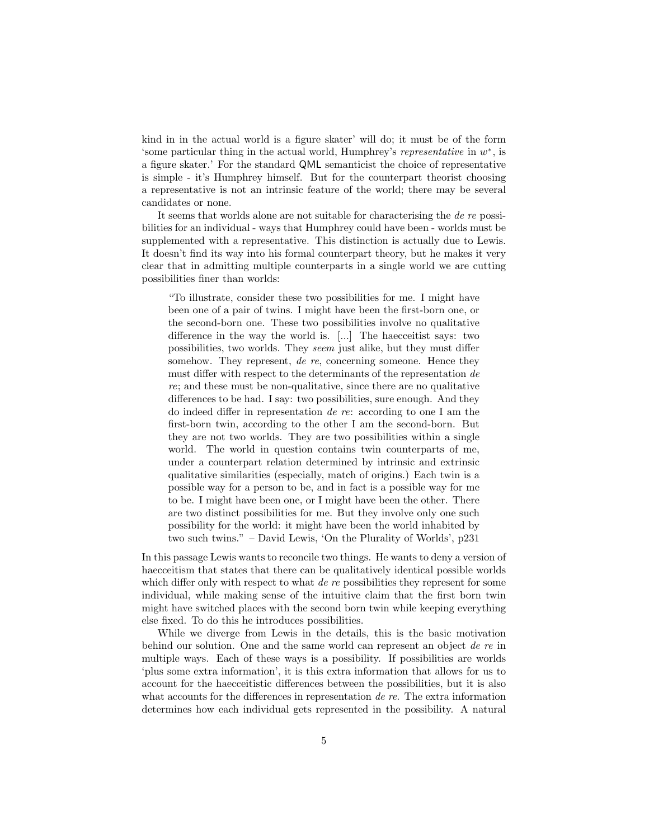kind in in the actual world is a figure skater' will do; it must be of the form 'some particular thing in the actual world, Humphrey's representative in  $w^*$ , is a figure skater.' For the standard QML semanticist the choice of representative is simple - it's Humphrey himself. But for the counterpart theorist choosing a representative is not an intrinsic feature of the world; there may be several candidates or none.

It seems that worlds alone are not suitable for characterising the *de re* possibilities for an individual - ways that Humphrey could have been - worlds must be supplemented with a representative. This distinction is actually due to Lewis. It doesn't find its way into his formal counterpart theory, but he makes it very clear that in admitting multiple counterparts in a single world we are cutting possibilities finer than worlds:

"To illustrate, consider these two possibilities for me. I might have been one of a pair of twins. I might have been the first-born one, or the second-born one. These two possibilities involve no qualitative difference in the way the world is. [...] The haecceitist says: two possibilities, two worlds. They seem just alike, but they must differ somehow. They represent, de re, concerning someone. Hence they must differ with respect to the determinants of the representation de re; and these must be non-qualitative, since there are no qualitative differences to be had. I say: two possibilities, sure enough. And they do indeed differ in representation de re: according to one I am the first-born twin, according to the other I am the second-born. But they are not two worlds. They are two possibilities within a single world. The world in question contains twin counterparts of me, under a counterpart relation determined by intrinsic and extrinsic qualitative similarities (especially, match of origins.) Each twin is a possible way for a person to be, and in fact is a possible way for me to be. I might have been one, or I might have been the other. There are two distinct possibilities for me. But they involve only one such possibility for the world: it might have been the world inhabited by two such twins." – David Lewis, 'On the Plurality of Worlds', p231

In this passage Lewis wants to reconcile two things. He wants to deny a version of haecceitism that states that there can be qualitatively identical possible worlds which differ only with respect to what de re possibilities they represent for some individual, while making sense of the intuitive claim that the first born twin might have switched places with the second born twin while keeping everything else fixed. To do this he introduces possibilities.

While we diverge from Lewis in the details, this is the basic motivation behind our solution. One and the same world can represent an object de re in multiple ways. Each of these ways is a possibility. If possibilities are worlds 'plus some extra information', it is this extra information that allows for us to account for the haecceitistic differences between the possibilities, but it is also what accounts for the differences in representation de re. The extra information determines how each individual gets represented in the possibility. A natural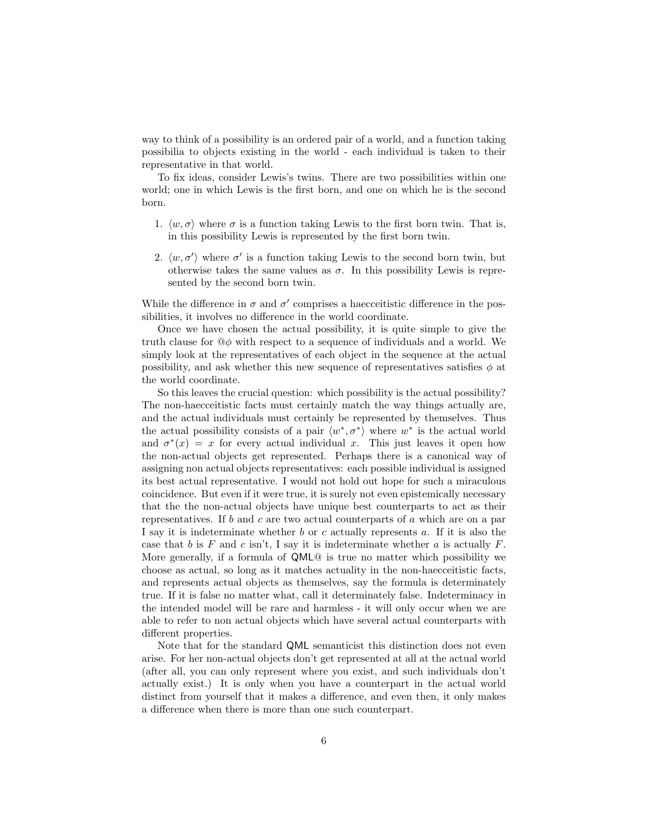way to think of a possibility is an ordered pair of a world, and a function taking possibilia to objects existing in the world - each individual is taken to their representative in that world.

To fix ideas, consider Lewis's twins. There are two possibilities within one world; one in which Lewis is the first born, and one on which he is the second born.

- 1.  $\langle w, \sigma \rangle$  where  $\sigma$  is a function taking Lewis to the first born twin. That is, in this possibility Lewis is represented by the first born twin.
- 2.  $\langle w, \sigma' \rangle$  where  $\sigma'$  is a function taking Lewis to the second born twin, but otherwise takes the same values as  $\sigma$ . In this possibility Lewis is represented by the second born twin.

While the difference in  $\sigma$  and  $\sigma'$  comprises a haecceitistic difference in the possibilities, it involves no difference in the world coordinate.

Once we have chosen the actual possibility, it is quite simple to give the truth clause for  $\mathbb{Q}\phi$  with respect to a sequence of individuals and a world. We simply look at the representatives of each object in the sequence at the actual possibility, and ask whether this new sequence of representatives satisfies  $\phi$  at the world coordinate.

So this leaves the crucial question: which possibility is the actual possibility? The non-haecceitistic facts must certainly match the way things actually are, and the actual individuals must certainly be represented by themselves. Thus the actual possibility consists of a pair  $\langle w^*, \sigma^* \rangle$  where  $w^*$  is the actual world and  $\sigma^*(x) = x$  for every actual individual x. This just leaves it open how the non-actual objects get represented. Perhaps there is a canonical way of assigning non actual objects representatives: each possible individual is assigned its best actual representative. I would not hold out hope for such a miraculous coincidence. But even if it were true, it is surely not even epistemically necessary that the the non-actual objects have unique best counterparts to act as their representatives. If  $b$  and  $c$  are two actual counterparts of  $a$  which are on a par I say it is indeterminate whether b or c actually represents a. If it is also the case that b is F and c isn't, I say it is indeterminate whether a is actually F. More generally, if a formula of QML@ is true no matter which possibility we choose as actual, so long as it matches actuality in the non-haecceitistic facts, and represents actual objects as themselves, say the formula is determinately true. If it is false no matter what, call it determinately false. Indeterminacy in the intended model will be rare and harmless - it will only occur when we are able to refer to non actual objects which have several actual counterparts with different properties.

Note that for the standard QML semanticist this distinction does not even arise. For her non-actual objects don't get represented at all at the actual world (after all, you can only represent where you exist, and such individuals don't actually exist.) It is only when you have a counterpart in the actual world distinct from yourself that it makes a difference, and even then, it only makes a difference when there is more than one such counterpart.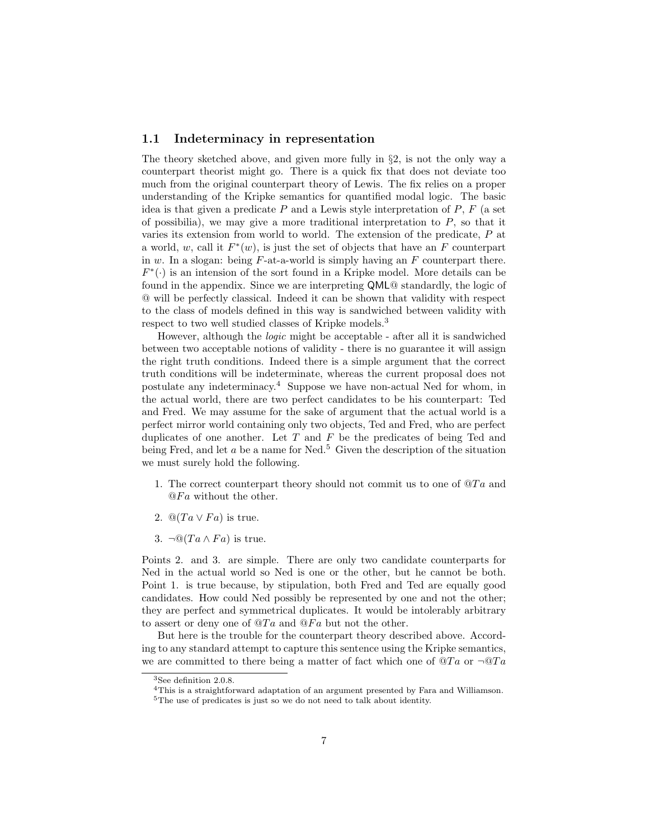## 1.1 Indeterminacy in representation

The theory sketched above, and given more fully in  $\S 2$ , is not the only way a counterpart theorist might go. There is a quick fix that does not deviate too much from the original counterpart theory of Lewis. The fix relies on a proper understanding of the Kripke semantics for quantified modal logic. The basic idea is that given a predicate  $P$  and a Lewis style interpretation of  $P$ ,  $F$  (a set of possibilia), we may give a more traditional interpretation to  $P$ , so that it varies its extension from world to world. The extension of the predicate, P at a world, w, call it  $F^*(w)$ , is just the set of objects that have an F counterpart in w. In a slogan: being  $F$ -at-a-world is simply having an  $F$  counterpart there.  $F^*(\cdot)$  is an intension of the sort found in a Kripke model. More details can be found in the appendix. Since we are interpreting QML@ standardly, the logic of @ will be perfectly classical. Indeed it can be shown that validity with respect to the class of models defined in this way is sandwiched between validity with respect to two well studied classes of Kripke models.<sup>3</sup>

However, although the logic might be acceptable - after all it is sandwiched between two acceptable notions of validity - there is no guarantee it will assign the right truth conditions. Indeed there is a simple argument that the correct truth conditions will be indeterminate, whereas the current proposal does not postulate any indeterminacy.<sup>4</sup> Suppose we have non-actual Ned for whom, in the actual world, there are two perfect candidates to be his counterpart: Ted and Fred. We may assume for the sake of argument that the actual world is a perfect mirror world containing only two objects, Ted and Fred, who are perfect duplicates of one another. Let  $T$  and  $F$  be the predicates of being Ted and being Fred, and let a be a name for Ned.<sup>5</sup> Given the description of the situation we must surely hold the following.

- 1. The correct counterpart theory should not commit us to one of  $\mathcal{Q}Ta$  and  $@Fa$  without the other.
- 2.  $\mathbb{Q}(Ta \vee Fa)$  is true.
- 3.  $\neg$ Q(Ta  $\wedge$  Fa) is true.

Points 2. and 3. are simple. There are only two candidate counterparts for Ned in the actual world so Ned is one or the other, but he cannot be both. Point 1. is true because, by stipulation, both Fred and Ted are equally good candidates. How could Ned possibly be represented by one and not the other; they are perfect and symmetrical duplicates. It would be intolerably arbitrary to assert or deny one of  $\mathcal{Q}Ta$  and  $\mathcal{Q}Fa$  but not the other.

But here is the trouble for the counterpart theory described above. According to any standard attempt to capture this sentence using the Kripke semantics, we are committed to there being a matter of fact which one of  $\mathcal{Q}Ta$  or  $\neg \mathcal{Q}Ta$ 

<sup>3</sup>See definition 2.0.8.

<sup>4</sup>This is a straightforward adaptation of an argument presented by Fara and Williamson.

<sup>5</sup>The use of predicates is just so we do not need to talk about identity.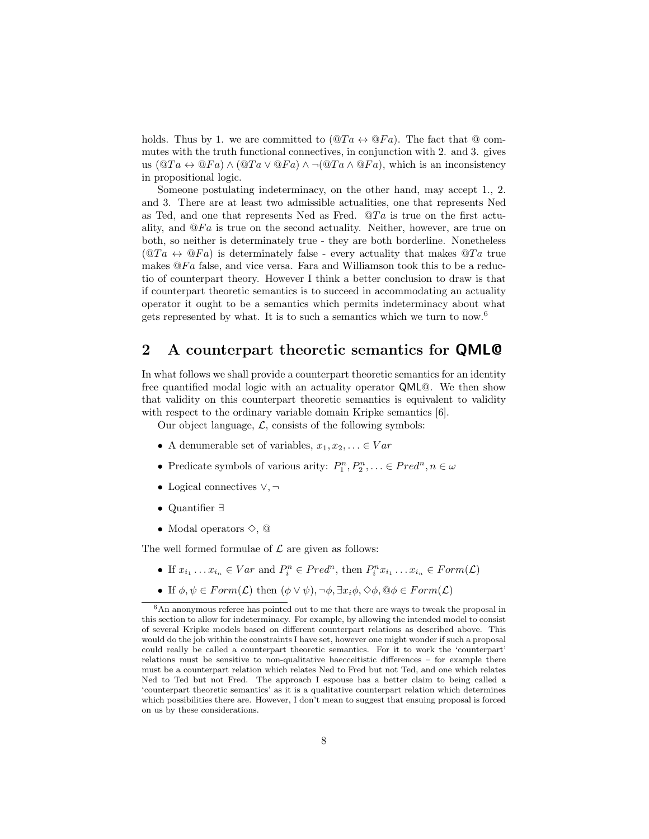holds. Thus by 1. we are committed to  $(\mathbb{Q}Ta \leftrightarrow \mathbb{Q}Fa)$ . The fact that  $\mathbb Q$  commutes with the truth functional connectives, in conjunction with 2. and 3. gives us  $(\mathbb{Q}Ta \leftrightarrow \mathbb{Q}Fa) \wedge (\mathbb{Q}Ta \vee \mathbb{Q}Fa) \wedge \neg (\mathbb{Q}Ta \wedge \mathbb{Q}Fa)$ , which is an inconsistency in propositional logic.

Someone postulating indeterminacy, on the other hand, may accept 1., 2. and 3. There are at least two admissible actualities, one that represents Ned as Ted, and one that represents Ned as Fred.  $\mathcal{Q}Ta$  is true on the first actuality, and  $\mathcal{Q}Fa$  is true on the second actuality. Neither, however, are true on both, so neither is determinately true - they are both borderline. Nonetheless  $(QTa \leftrightarrow QFa)$  is determinately false - every actuality that makes  $QTa$  true makes  $\mathbb{Q}Fa$  false, and vice versa. Fara and Williamson took this to be a reductio of counterpart theory. However I think a better conclusion to draw is that if counterpart theoretic semantics is to succeed in accommodating an actuality operator it ought to be a semantics which permits indeterminacy about what gets represented by what. It is to such a semantics which we turn to now.<sup>6</sup>

# 2 A counterpart theoretic semantics for QML@

In what follows we shall provide a counterpart theoretic semantics for an identity free quantified modal logic with an actuality operator QML@. We then show that validity on this counterpart theoretic semantics is equivalent to validity with respect to the ordinary variable domain Kripke semantics [6].

Our object language,  $\mathcal{L}$ , consists of the following symbols:

- A denumerable set of variables,  $x_1, x_2, \ldots \in Var$
- Predicate symbols of various arity:  $P_1^n, P_2^n, \ldots \in Pred^n, n \in \omega$
- Logical connectives ∨, ¬
- Quantifier ∃
- Modal operators  $\diamond$ ,  $\odot$

The well formed formulae of  $\mathcal L$  are given as follows:

- If  $x_{i_1} \ldots x_{i_n} \in Var$  and  $P_i^n \in Pred^n$ , then  $P_i^n x_{i_1} \ldots x_{i_n} \in Form(\mathcal{L})$
- If  $\phi, \psi \in Form(\mathcal{L})$  then  $(\phi \lor \psi), \neg \phi, \exists x_i \phi, \Diamond \phi, \Theta \phi \in Form(\mathcal{L})$

 $6$ An anonymous referee has pointed out to me that there are ways to tweak the proposal in this section to allow for indeterminacy. For example, by allowing the intended model to consist of several Kripke models based on different counterpart relations as described above. This would do the job within the constraints I have set, however one might wonder if such a proposal could really be called a counterpart theoretic semantics. For it to work the 'counterpart' relations must be sensitive to non-qualitative haecceitistic differences – for example there must be a counterpart relation which relates Ned to Fred but not Ted, and one which relates Ned to Ted but not Fred. The approach I espouse has a better claim to being called a 'counterpart theoretic semantics' as it is a qualitative counterpart relation which determines which possibilities there are. However, I don't mean to suggest that ensuing proposal is forced on us by these considerations.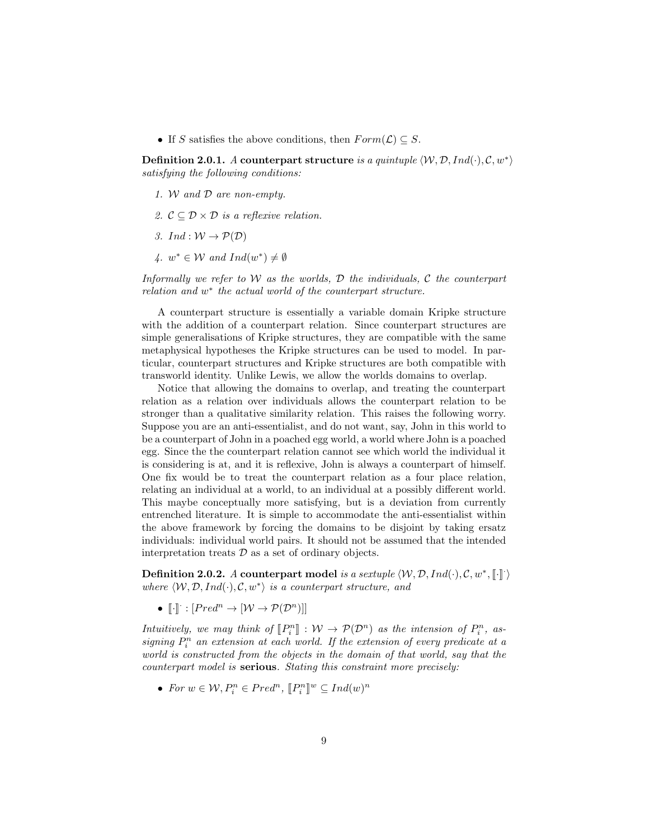• If S satisfies the above conditions, then  $Form(\mathcal{L}) \subseteq S$ .

Definition 2.0.1. A counterpart structure is a quintuple  $\langle W, \mathcal{D}, Ind(\cdot), \mathcal{C}, w^* \rangle$ satisfying the following conditions:

- 1. W and D are non-empty.
- 2.  $\mathcal{C} \subset \mathcal{D} \times \mathcal{D}$  is a reflexive relation.
- 3. Ind :  $W \to \mathcal{P}(\mathcal{D})$
- 4.  $w^* \in \mathcal{W}$  and  $Ind(w^*) \neq \emptyset$

Informally we refer to  $W$  as the worlds,  $D$  the individuals,  $C$  the counterpart relation and  $w^*$  the actual world of the counterpart structure.

A counterpart structure is essentially a variable domain Kripke structure with the addition of a counterpart relation. Since counterpart structures are simple generalisations of Kripke structures, they are compatible with the same metaphysical hypotheses the Kripke structures can be used to model. In particular, counterpart structures and Kripke structures are both compatible with transworld identity. Unlike Lewis, we allow the worlds domains to overlap.

Notice that allowing the domains to overlap, and treating the counterpart relation as a relation over individuals allows the counterpart relation to be stronger than a qualitative similarity relation. This raises the following worry. Suppose you are an anti-essentialist, and do not want, say, John in this world to be a counterpart of John in a poached egg world, a world where John is a poached egg. Since the the counterpart relation cannot see which world the individual it is considering is at, and it is reflexive, John is always a counterpart of himself. One fix would be to treat the counterpart relation as a four place relation, relating an individual at a world, to an individual at a possibly different world. This maybe conceptually more satisfying, but is a deviation from currently entrenched literature. It is simple to accommodate the anti-essentialist within the above framework by forcing the domains to be disjoint by taking ersatz individuals: individual world pairs. It should not be assumed that the intended interpretation treats  $\mathcal D$  as a set of ordinary objects.

**Definition 2.0.2.** A counterpart model is a sextuple  $\langle W, \mathcal{D}, Ind(\cdot), \mathcal{C}, w^*, \llbracket \cdot \rrbracket \rangle$ where  $\langle W, \mathcal{D}, Ind(\cdot), \mathcal{C}, w^* \rangle$  is a counterpart structure, and

•  $\llbracket \cdot \rrbracket : [Pred^n \to [W \to \mathcal{P}(\mathcal{D}^n)]]$ 

Intuitively, we may think of  $[\![P_i^n]\!] : \mathcal{W} \to \mathcal{P}(\mathcal{D}^n)$  as the intension of  $P_i^n$ , as-<br>giving  $P^n$  an extension at each suced if the extension of every producte at a signing  $P_i^n$  an extension at each world. If the extension of every predicate at a world is constructed from the objects in the domain of that world, say that the counterpart model is serious. Stating this constraint more precisely:

• For  $w \in \mathcal{W}, P_i^n \in Pred^n, [P_i^n]^w \subseteq Ind(w)^n$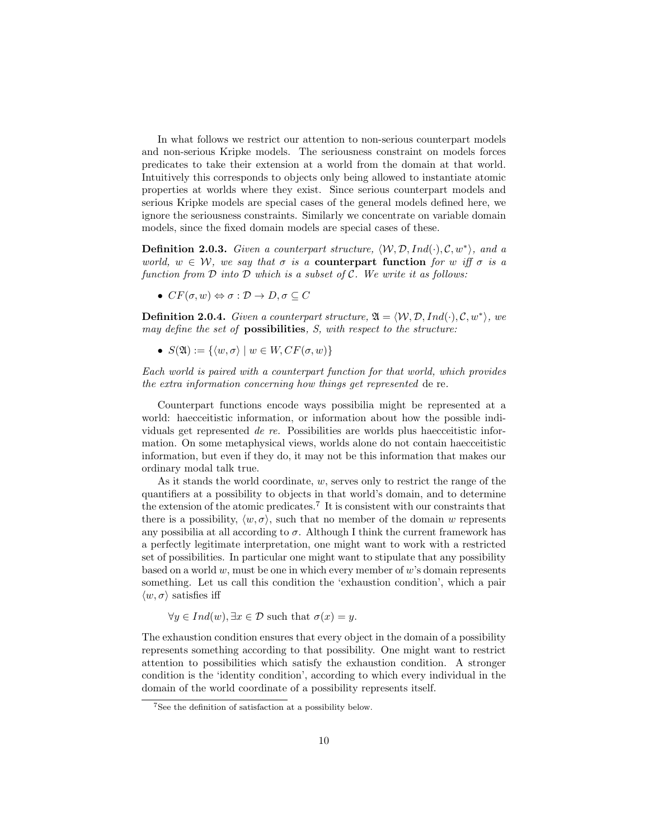In what follows we restrict our attention to non-serious counterpart models and non-serious Kripke models. The seriousness constraint on models forces predicates to take their extension at a world from the domain at that world. Intuitively this corresponds to objects only being allowed to instantiate atomic properties at worlds where they exist. Since serious counterpart models and serious Kripke models are special cases of the general models defined here, we ignore the seriousness constraints. Similarly we concentrate on variable domain models, since the fixed domain models are special cases of these.

**Definition 2.0.3.** Given a counterpart structure,  $\langle W, \mathcal{D}, Ind(\cdot), \mathcal{C}, w^* \rangle$ , and a world,  $w \in W$ , we say that  $\sigma$  is a **counterpart function** for w iff  $\sigma$  is a function from  $D$  into  $D$  which is a subset of  $C$ . We write it as follows:

•  $CF(\sigma, w) \Leftrightarrow \sigma : \mathcal{D} \to D, \sigma \subseteq C$ 

**Definition 2.0.4.** Given a counterpart structure,  $\mathfrak{A} = \langle W, \mathcal{D}, Ind(\cdot), \mathcal{C}, w^* \rangle$ , we may define the set of **possibilities**, S, with respect to the structure:

•  $S(\mathfrak{A}) := \{ \langle w, \sigma \rangle \mid w \in W, CF(\sigma, w) \}$ 

Each world is paired with a counterpart function for that world, which provides the extra information concerning how things get represented de re.

Counterpart functions encode ways possibilia might be represented at a world: haecceitistic information, or information about how the possible individuals get represented de re. Possibilities are worlds plus haecceitistic information. On some metaphysical views, worlds alone do not contain haecceitistic information, but even if they do, it may not be this information that makes our ordinary modal talk true.

As it stands the world coordinate,  $w$ , serves only to restrict the range of the quantifiers at a possibility to objects in that world's domain, and to determine the extension of the atomic predicates.<sup>7</sup> It is consistent with our constraints that there is a possibility,  $\langle w, \sigma \rangle$ , such that no member of the domain w represents any possibilia at all according to  $\sigma$ . Although I think the current framework has a perfectly legitimate interpretation, one might want to work with a restricted set of possibilities. In particular one might want to stipulate that any possibility based on a world  $w$ , must be one in which every member of  $w$ 's domain represents something. Let us call this condition the 'exhaustion condition', which a pair  $\langle w, \sigma \rangle$  satisfies iff

$$
\forall y \in Ind(w), \exists x \in \mathcal{D} \text{ such that } \sigma(x) = y.
$$

The exhaustion condition ensures that every object in the domain of a possibility represents something according to that possibility. One might want to restrict attention to possibilities which satisfy the exhaustion condition. A stronger condition is the 'identity condition', according to which every individual in the domain of the world coordinate of a possibility represents itself.

<sup>7</sup>See the definition of satisfaction at a possibility below.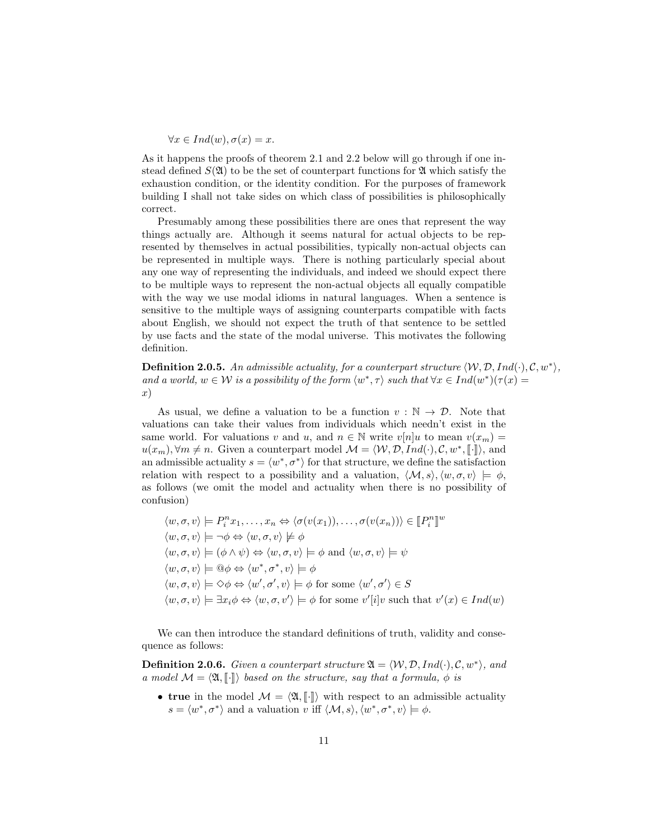$$
\forall x \in Ind(w), \sigma(x) = x.
$$

As it happens the proofs of theorem 2.1 and 2.2 below will go through if one instead defined  $S(\mathfrak{A})$  to be the set of counterpart functions for  $\mathfrak A$  which satisfy the exhaustion condition, or the identity condition. For the purposes of framework building I shall not take sides on which class of possibilities is philosophically correct.

Presumably among these possibilities there are ones that represent the way things actually are. Although it seems natural for actual objects to be represented by themselves in actual possibilities, typically non-actual objects can be represented in multiple ways. There is nothing particularly special about any one way of representing the individuals, and indeed we should expect there to be multiple ways to represent the non-actual objects all equally compatible with the way we use modal idioms in natural languages. When a sentence is sensitive to the multiple ways of assigning counterparts compatible with facts about English, we should not expect the truth of that sentence to be settled by use facts and the state of the modal universe. This motivates the following definition.

**Definition 2.0.5.** An admissible actuality, for a counterpart structure  $\langle W, \mathcal{D}, Ind(\cdot), \mathcal{C}, w^* \rangle$ , and a world,  $w \in \mathcal{W}$  is a possibility of the form  $\langle w^*, \tau \rangle$  such that  $\forall x \in Ind(w^*)(\tau(x) =$ x)

As usual, we define a valuation to be a function  $v : \mathbb{N} \to \mathcal{D}$ . Note that valuations can take their values from individuals which needn't exist in the same world. For valuations v and u, and  $n \in \mathbb{N}$  write  $v[n]u$  to mean  $v(x_m) =$  $u(x_m), \forall m \neq n$ . Given a counterpart model  $\mathcal{M} = \langle \mathcal{W}, \mathcal{D}, Ind(\cdot), \mathcal{C}, w^*, \llbracket \cdot \rrbracket \rangle$ , and<br>an admissible actuality  $e = \langle w^*, \pi^* \rangle$  for that structure, we define the satisfaction an admissible actuality  $s = \langle w^*, \sigma^* \rangle$  for that structure, we define the satisfaction relation with respect to a possibility and a valuation,  $\langle \mathcal{M}, s \rangle, \langle w, \sigma, v \rangle \models \phi$ , as follows (we omit the model and actuality when there is no possibility of confusion)

$$
\langle w, \sigma, v \rangle \models P_i^n x_1, \dots, x_n \Leftrightarrow \langle \sigma(v(x_1)), \dots, \sigma(v(x_n)) \rangle \in [P_i^n]^w
$$
  

$$
\langle w, \sigma, v \rangle \models \neg \phi \Leftrightarrow \langle w, \sigma, v \rangle \not\models \phi
$$
  

$$
\langle w, \sigma, v \rangle \models (\phi \land \psi) \Leftrightarrow \langle w, \sigma, v \rangle \models \phi \text{ and } \langle w, \sigma, v \rangle \models \psi
$$
  

$$
\langle w, \sigma, v \rangle \models \mathbb{Q}\phi \Leftrightarrow \langle w^*, \sigma^*, v \rangle \models \phi
$$
  

$$
\langle w, \sigma, v \rangle \models \Diamond \phi \Leftrightarrow \langle w', \sigma', v \rangle \models \phi \text{ for some } \langle w', \sigma' \rangle \in S
$$
  

$$
\langle w, \sigma, v \rangle \models \exists x_i \phi \Leftrightarrow \langle w, \sigma, v' \rangle \models \phi \text{ for some } v'[i]v \text{ such that } v'(x) \in Ind(w)
$$

We can then introduce the standard definitions of truth, validity and consequence as follows:

**Definition 2.0.6.** Given a counterpart structure  $\mathfrak{A} = \langle W, \mathcal{D}, Ind(\cdot), \mathcal{C}, w^* \rangle$ , and a model  $\mathcal{M} = \langle \mathfrak{A}, \llbracket \cdot \rrbracket \rangle$  based on the structure, say that a formula,  $\phi$  is

• true in the model  $\mathcal{M} = \langle \mathfrak{A}, \llbracket \cdot \rrbracket \rangle$  with respect to an admissible actuality  $s = \langle w^*, \sigma^* \rangle$  and a valuation v iff  $\langle \mathcal{M}, s \rangle, \langle w^*, \sigma^*, v \rangle \models \phi$ .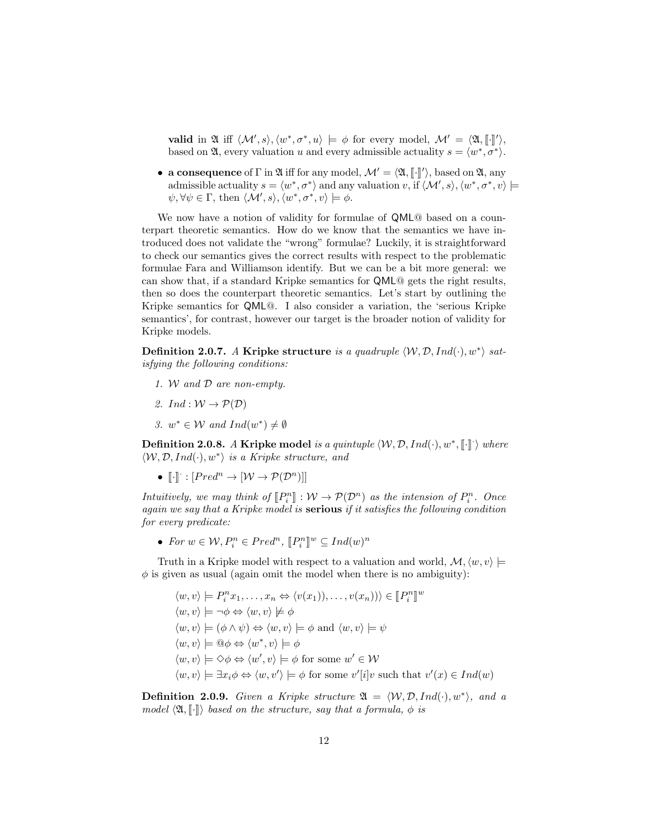valid in  $\mathfrak{A}$  iff  $\langle \mathcal{M}', s \rangle, \langle w^*, \sigma^*, u \rangle \models \phi$  for every model,  $\mathcal{M}' = \langle \mathfrak{A}, \llbracket \cdot \rrbracket' \rangle$ , based on  $\mathfrak{A}$ , every valuation u and every admissible actuality  $s = \langle w^*, \sigma^* \rangle$ .

• a consequence of  $\Gamma$  in  $\mathfrak A$  iff for any model,  $\mathcal M' = \langle \mathfrak A, [\![\cdot]\!] \rangle$ , based on  $\mathfrak A$ , any originals actuality  $\mathfrak a = \langle w^*, \tau^* \rangle$  and any valuation  $\mathfrak a$ , if  $\langle M', \varphi \rangle$   $\langle w^*, \tau^*, \varphi \rangle$ admissible actuality  $s = \langle w^*, \sigma^* \rangle$  and any valuation v, if  $\langle \mathcal{M}', s \rangle$ ,  $\langle w^*, \sigma^*, v \rangle \models$  $\psi, \forall \psi \in \Gamma$ , then  $\langle \mathcal{M}', s \rangle, \langle w^*, \sigma^*, v \rangle \models \phi$ .

We now have a notion of validity for formulae of QML@ based on a counterpart theoretic semantics. How do we know that the semantics we have introduced does not validate the "wrong" formulae? Luckily, it is straightforward to check our semantics gives the correct results with respect to the problematic formulae Fara and Williamson identify. But we can be a bit more general: we can show that, if a standard Kripke semantics for QML@ gets the right results, then so does the counterpart theoretic semantics. Let's start by outlining the Kripke semantics for QML@. I also consider a variation, the 'serious Kripke semantics', for contrast, however our target is the broader notion of validity for Kripke models.

Definition 2.0.7. A Kripke structure is a quadruple  $\langle W, \mathcal{D}, Ind(\cdot), w^* \rangle$  satisfying the following conditions:

- 1. W and D are non-empty.
- 2. Ind :  $W \to \mathcal{P}(\mathcal{D})$
- 3.  $w^* \in \mathcal{W}$  and  $Ind(w^*) \neq \emptyset$

**Definition 2.0.8.** A Kripke model is a quintuple  $\langle W, \mathcal{D}, Ind(\cdot), w^*, \llbracket \cdot \rrbracket \rangle$  where  $\langle \mathcal{W}, \mathcal{D}, Ind(\cdot), w^* \rangle$  is a Kripke structure, and

•  $\llbracket \cdot \rrbracket : [Pred^n \to [W \to \mathcal{P}(\mathcal{D}^n)]]$ 

Intuitively, we may think of  $[\![P_i^n]\!] : \mathcal{W} \to \mathcal{P}(\mathcal{D}^n)$  as the intension of  $P_i^n$ . Once<br>again we say that a Kripha model is sorious if it estighes the following condition again we say that a Kripke model is **serious** if it satisfies the following condition for every predicate:

• For  $w \in \mathcal{W}, P_i^n \in Pred^n, [P_i^n]^w \subseteq Ind(w)^n$ 

Truth in a Kripke model with respect to a valuation and world,  $\mathcal{M}, \langle w, v \rangle \models$  $\phi$  is given as usual (again omit the model when there is no ambiguity):

 $\langle w, v \rangle \models P_i^n x_1, \dots, x_n \Leftrightarrow \langle v(x_1) \rangle, \dots, v(x_n) \rangle \rangle \in [P_i^n]$ w  $\langle w, v \rangle \models \neg \phi \Leftrightarrow \langle w, v \rangle \not\models \phi$  $\langle w, v \rangle \models (\phi \land \psi) \Leftrightarrow \langle w, v \rangle \models \phi \text{ and } \langle w, v \rangle \models \psi$  $\langle w, v \rangle \models \Theta \phi \Leftrightarrow \langle w^*, v \rangle \models \phi$  $\langle w, v \rangle \models \Diamond \phi \Leftrightarrow \langle w', v \rangle \models \phi \text{ for some } w' \in \mathcal{W}$  $\langle w, v \rangle \models \exists x_i \phi \Leftrightarrow \langle w, v' \rangle \models \phi$  for some  $v'[i]v$  such that  $v'(x) \in Ind(w)$ 

**Definition 2.0.9.** Given a Kripke structure  $\mathfrak{A} = \langle W, \mathcal{D}, Ind(\cdot), w^* \rangle$ , and a model  $\langle \mathfrak{A}, \llbracket \cdot \rrbracket \rangle$  based on the structure, say that a formula,  $\phi$  is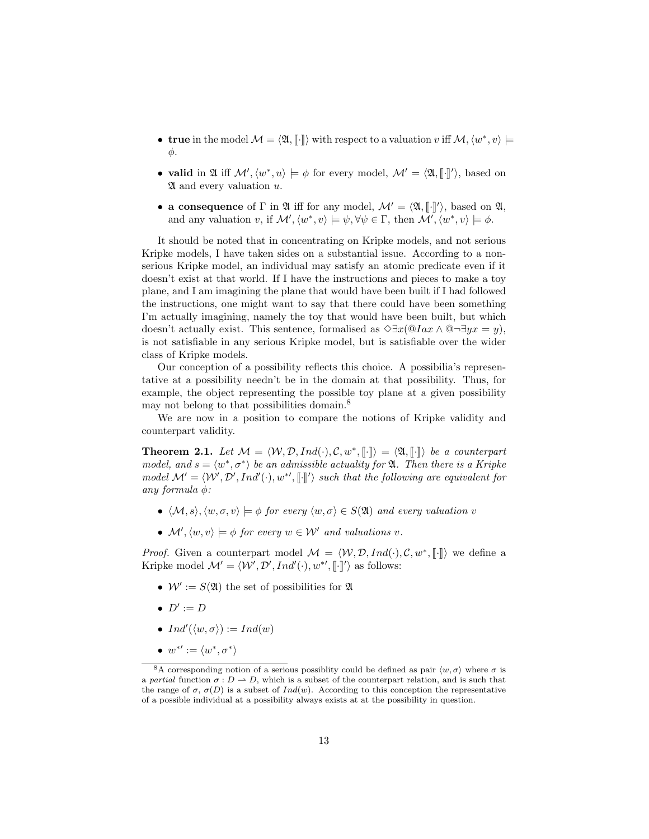- true in the model  $\mathcal{M} = \langle \mathfrak{A}, \llbracket \cdot \rrbracket \rangle$  with respect to a valuation v iff  $\mathcal{M}, \langle w^*, v \rangle \models$ φ.
- valid in  $\mathfrak{A}$  iff  $\mathcal{M}', \langle w^*, u \rangle \models \phi$  for every model,  $\mathcal{M}' = \langle \mathfrak{A}, \llbracket \cdot \rrbracket' \rangle$ , based on  $\mathfrak{A}'$  and every relustion  $u$ .  $\mathfrak A$  and every valuation  $u$ .
- a consequence of  $\Gamma$  in  $\mathfrak A$  iff for any model,  $\mathcal M' = \langle \mathfrak A, [\cdot]'\rangle$ , based on  $\mathfrak A$ , and only valuation at if  $\mathcal M'$ ,  $\langle w^*, w \rangle \models \phi$ ,  $\forall \phi \in \Gamma$ , then  $\mathcal M'$ ,  $\langle w^*, w \rangle \models \phi$ and any valuation v, if  $\mathcal{M}', \langle w^*, v \rangle \models \psi, \forall \psi \in \Gamma$ , then  $\mathcal{M}', \langle w^*, v \rangle \models \phi$ .

It should be noted that in concentrating on Kripke models, and not serious Kripke models, I have taken sides on a substantial issue. According to a nonserious Kripke model, an individual may satisfy an atomic predicate even if it doesn't exist at that world. If I have the instructions and pieces to make a toy plane, and I am imagining the plane that would have been built if I had followed the instructions, one might want to say that there could have been something I'm actually imagining, namely the toy that would have been built, but which doesn't actually exist. This sentence, formalised as  $\Diamond \exists x (\mathbb{Q} Iax \land \mathbb{Q} \neg \exists yx = y)$ , is not satisfiable in any serious Kripke model, but is satisfiable over the wider class of Kripke models.

Our conception of a possibility reflects this choice. A possibilia's representative at a possibility needn't be in the domain at that possibility. Thus, for example, the object representing the possible toy plane at a given possibility may not belong to that possibilities domain.<sup>8</sup>

We are now in a position to compare the notions of Kripke validity and counterpart validity.

**Theorem 2.1.** Let  $\mathcal{M} = \langle \mathcal{W}, \mathcal{D}, Ind(\cdot), \mathcal{C}, w^*, \llbracket \cdot \rrbracket \rangle = \langle \mathfrak{A}, \llbracket \cdot \rrbracket \rangle$  be a counterpart<br>model, and  $s = \langle w^*, \tau^* \rangle$  be an admissible actuality for  $\mathfrak{A}$ . Then there is a Kripke model, and  $s = \langle w^*, \sigma^* \rangle$  be an admissible actuality for  $\mathfrak{A}$ . Then there is a Kripke model  $\mathcal{M}' = \langle \mathcal{W}', \mathcal{D}', Ind'(\cdot), w^{*}, \llbracket \cdot \rrbracket' \rangle$  such that the following are equivalent for any formula  $\phi$ :

- $\langle \mathcal{M}, s \rangle, \langle w, \sigma, v \rangle \models \phi$  for every  $\langle w, \sigma \rangle \in S(\mathfrak{A})$  and every valuation v
- $\mathcal{M}', \langle w, v \rangle \models \phi$  for every  $w \in \mathcal{W}'$  and valuations v.

*Proof.* Given a counterpart model  $\mathcal{M} = \langle \mathcal{W}, \mathcal{D}, Ind(\cdot), \mathcal{C}, w^*, \llbracket \cdot \rrbracket \rangle$  we define a Kripko model  $M' = \langle \mathcal{W}', \mathcal{D}', Ind' \rangle$ ,  $w^{*\prime} \llbracket \rrbracket / \rangle$  as follows: Kripke model  $\mathcal{M}' = \langle \mathcal{W}', \mathcal{D}', Ind'(\cdot), w^{*\prime}, \llbracket \cdot \rrbracket' \rangle$  as follows:

- $W' := S(\mathfrak{A})$  the set of possibilities for  $\mathfrak A$
- $D' := D$
- $Ind'(\langle w, \sigma \rangle) := Ind(w)$
- $w^{*'} := \langle w^*, \sigma^* \rangle$

<sup>&</sup>lt;sup>8</sup>A corresponding notion of a serious possiblity could be defined as pair  $\langle w, \sigma \rangle$  where  $\sigma$  is a partial function  $\sigma : D \to D$ , which is a subset of the counterpart relation, and is such that the range of  $\sigma$ ,  $\sigma(D)$  is a subset of  $Ind(w)$ . According to this conception the representative of a possible individual at a possibility always exists at at the possibility in question.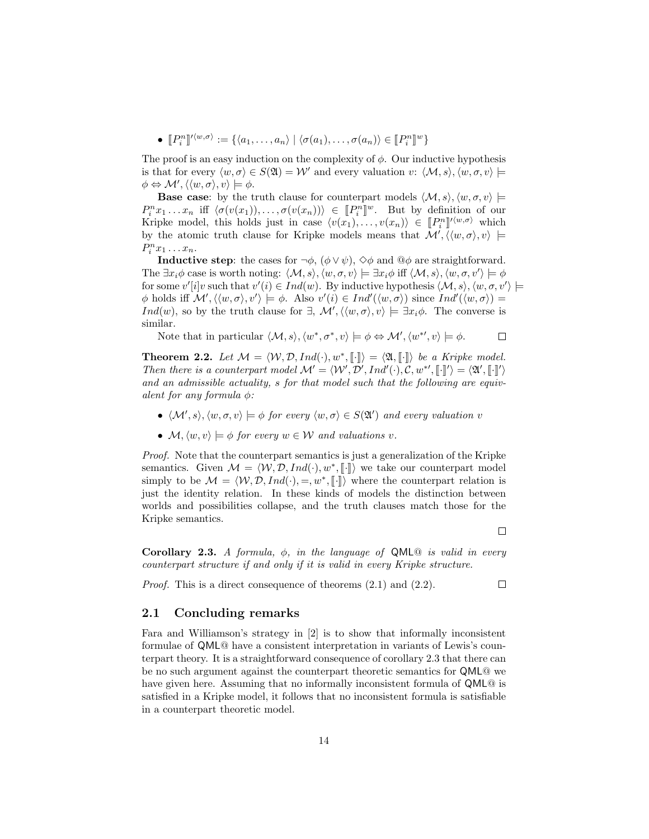•  $[P_i^n]$  $\mathcal{O}(\langle w, \sigma \rangle) := \{ \langle a_1, \ldots, a_n \rangle \mid \langle \sigma(a_1), \ldots, \sigma(a_n) \rangle \in [P_i^n]^w \}$ 

The proof is an easy induction on the complexity of  $\phi$ . Our inductive hypothesis is that for every  $\langle w, \sigma \rangle \in S(\mathfrak{A}) = \mathcal{W}'$  and every valuation  $v: \langle \mathcal{M}, s \rangle, \langle w, \sigma, v \rangle \models$  $\phi \Leftrightarrow \mathcal{M}', \langle \langle w, \sigma \rangle, v \rangle \models \phi.$ 

**Base case:** by the truth clause for counterpart models  $\langle M, s \rangle, \langle w, \sigma, v \rangle \models$  $P_i^n x_1 \dots x_n$  iff  $\langle \sigma(v(x_1)), \dots, \sigma(v(x_n)) \rangle \in [P_i^n]^w$ . But by definition of our Kripko model, this holds just in appo  $\langle v(x_1), \dots, v(x_n) \rangle \in [P_i^n]^{\nu(w, \sigma)}$  which Kripke model, this holds just in case  $\langle v(x_1), \ldots, v(x_n) \rangle \in [P_i^n]^{l \langle w, \sigma \rangle}$  which<br>by the stopic truth clause for Kripke models means that  $M' / \langle w, \sigma \rangle$  and  $\vdash$ by the atomic truth clause for Kripke models means that  $\mathcal{M}', \langle \langle w, \sigma \rangle, v \rangle \models$  $P_i^n x_1 \ldots x_n$ .

**Inductive step:** the cases for  $\neg \phi$ ,  $(\phi \lor \psi)$ ,  $\diamond \phi$  and  $\textcircled{a} \phi$  are straightforward. The  $\exists x_i \phi$  case is worth noting:  $\langle \mathcal{M}, s \rangle, \langle w, \sigma, v \rangle \models \exists x_i \phi$  iff  $\langle \mathcal{M}, s \rangle, \langle w, \sigma, v' \rangle \models \phi$ for some  $v'[i]v$  such that  $v'(i) \in Ind(w)$ . By inductive hypothesis  $\langle \mathcal{M}, s \rangle$ ,  $\langle w, \sigma, v' \rangle \models$  $\phi$  holds iff  $\mathcal{M}', \langle \langle w, \sigma \rangle, v' \rangle \models \phi$ . Also  $v'(i) \in Ind'(\langle w, \sigma \rangle)$  since  $Ind'(\langle w, \sigma \rangle) =$ Ind(w), so by the truth clause for  $\exists$ ,  $\mathcal{M}', \langle \langle w, \sigma \rangle, v \rangle \models \exists x_i \phi$ . The converse is similar.

Note that in particular  $\langle M, s \rangle, \langle w^*, \sigma^*, v \rangle \models \phi \Leftrightarrow \mathcal{M}', \langle w^{*}, v \rangle \models \phi.$  $\Box$ 

**Theorem 2.2.** Let  $\mathcal{M} = \langle \mathcal{W}, \mathcal{D}, Ind(\cdot), w^*, \llbracket \cdot \rrbracket \rangle = \langle \mathfrak{A}, \llbracket \cdot \rrbracket \rangle$  be a Kripke model.<br>Then there is a counterpart model  $\mathcal{M}' = \langle \mathcal{W}, \mathcal{D}', \llbracket \cdot \rrbracket \rangle \rangle \subset \mathcal{M}' \subset \mathbb{R}^{N}$ Then there is a counterpart model  $\mathcal{M}' = \langle W', \mathcal{D}', Ind'(\cdot), \mathcal{C}, w^*, \llbracket \cdot \rrbracket' \rangle = \langle \mathfrak{A}', \llbracket \cdot \rrbracket' \rangle$ and an admissible actuality, s for that model such that the following are equivalent for any formula  $\phi$ :

- $\langle \mathcal{M}', s \rangle$ ,  $\langle w, \sigma, v \rangle \models \phi$  for every  $\langle w, \sigma \rangle \in S(\mathfrak{A}')$  and every valuation v
- $\mathcal{M}, \langle w, v \rangle \models \phi$  for every  $w \in \mathcal{W}$  and valuations v.

Proof. Note that the counterpart semantics is just a generalization of the Kripke semantics. Given  $\mathcal{M} = \langle \mathcal{W}, \mathcal{D}, Ind(\cdot), w^*, \llbracket \cdot \rrbracket \rangle$  we take our counterpart model<br>simply to be  $M = \langle \mathcal{W}, \mathcal{D}, Ind(\cdot) \rangle = w^* \llbracket \cdot \rrbracket$  where the counterpart relation is simply to be  $\mathcal{M} = \langle \mathcal{W}, \mathcal{D}, Ind(\cdot), =, w^*, \llbracket \cdot \rrbracket \rangle$  where the counterpart relation is<br>just the identity relation. In these kinds of models the distinction between just the identity relation. In these kinds of models the distinction between worlds and possibilities collapse, and the truth clauses match those for the Kripke semantics.

 $\Box$ 

 $\Box$ 

Corollary 2.3. A formula,  $\phi$ , in the language of QML<sup>®</sup> is valid in every counterpart structure if and only if it is valid in every Kripke structure.

Proof. This is a direct consequence of theorems (2.1) and (2.2).

#### 2.1 Concluding remarks

Fara and Williamson's strategy in [2] is to show that informally inconsistent formulae of QML@ have a consistent interpretation in variants of Lewis's counterpart theory. It is a straightforward consequence of corollary 2.3 that there can be no such argument against the counterpart theoretic semantics for QML@ we have given here. Assuming that no informally inconsistent formula of QML@ is satisfied in a Kripke model, it follows that no inconsistent formula is satisfiable in a counterpart theoretic model.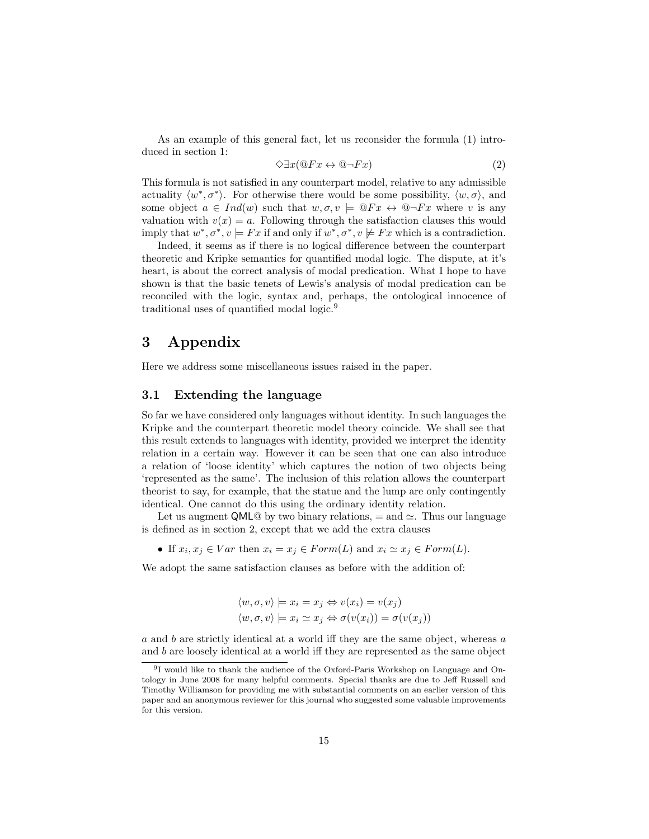As an example of this general fact, let us reconsider the formula (1) introduced in section 1:

$$
\Diamond \exists x (\mathbb{Q} Fx \leftrightarrow \mathbb{Q} \neg Fx) \tag{2}
$$

This formula is not satisfied in any counterpart model, relative to any admissible actuality  $\langle w^*, \sigma^* \rangle$ . For otherwise there would be some possibility,  $\langle w, \sigma \rangle$ , and some object  $a \in Ind(w)$  such that  $w, \sigma, v \models \mathbb{Q}Fx \leftrightarrow \mathbb{Q}\neg Fx$  where v is any valuation with  $v(x) = a$ . Following through the satisfaction clauses this would imply that  $w^*, \sigma^*, v \models Fx$  if and only if  $w^*, \sigma^*, v \not\models Fx$  which is a contradiction.

Indeed, it seems as if there is no logical difference between the counterpart theoretic and Kripke semantics for quantified modal logic. The dispute, at it's heart, is about the correct analysis of modal predication. What I hope to have shown is that the basic tenets of Lewis's analysis of modal predication can be reconciled with the logic, syntax and, perhaps, the ontological innocence of traditional uses of quantified modal logic.<sup>9</sup>

# 3 Appendix

Here we address some miscellaneous issues raised in the paper.

## 3.1 Extending the language

So far we have considered only languages without identity. In such languages the Kripke and the counterpart theoretic model theory coincide. We shall see that this result extends to languages with identity, provided we interpret the identity relation in a certain way. However it can be seen that one can also introduce a relation of 'loose identity' which captures the notion of two objects being 'represented as the same'. The inclusion of this relation allows the counterpart theorist to say, for example, that the statue and the lump are only contingently identical. One cannot do this using the ordinary identity relation.

Let us augment QML@ by two binary relations,  $=$  and  $\simeq$ . Thus our language is defined as in section 2, except that we add the extra clauses

• If  $x_i, x_j \in Var$  then  $x_i = x_j \in Form(L)$  and  $x_i \simeq x_j \in Form(L)$ .

We adopt the same satisfaction clauses as before with the addition of:

$$
\langle w, \sigma, v \rangle \models x_i = x_j \Leftrightarrow v(x_i) = v(x_j)
$$
  

$$
\langle w, \sigma, v \rangle \models x_i \simeq x_j \Leftrightarrow \sigma(v(x_i)) = \sigma(v(x_j))
$$

a and b are strictly identical at a world iff they are the same object, whereas a and b are loosely identical at a world iff they are represented as the same object

<sup>9</sup> I would like to thank the audience of the Oxford-Paris Workshop on Language and Ontology in June 2008 for many helpful comments. Special thanks are due to Jeff Russell and Timothy Williamson for providing me with substantial comments on an earlier version of this paper and an anonymous reviewer for this journal who suggested some valuable improvements for this version.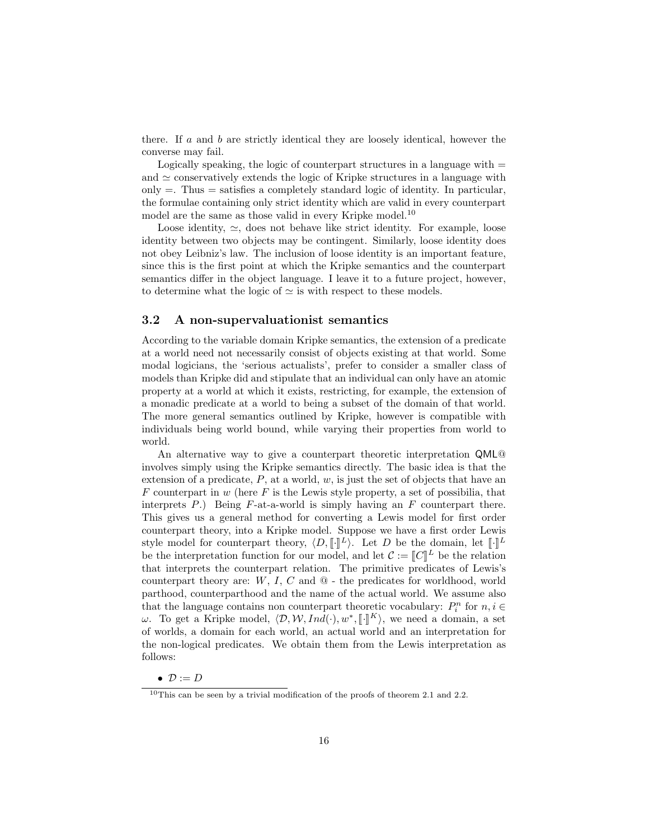there. If  $a$  and  $b$  are strictly identical they are loosely identical, however the converse may fail.

Logically speaking, the logic of counterpart structures in a language with  $=$ and  $\simeq$  conservatively extends the logic of Kripke structures in a language with only  $=$ . Thus  $=$  satisfies a completely standard logic of identity. In particular, the formulae containing only strict identity which are valid in every counterpart model are the same as those valid in every Kripke model.<sup>10</sup>

Loose identity,  $\simeq$ , does not behave like strict identity. For example, loose identity between two objects may be contingent. Similarly, loose identity does not obey Leibniz's law. The inclusion of loose identity is an important feature, since this is the first point at which the Kripke semantics and the counterpart semantics differ in the object language. I leave it to a future project, however, to determine what the logic of  $\simeq$  is with respect to these models.

## 3.2 A non-supervaluationist semantics

According to the variable domain Kripke semantics, the extension of a predicate at a world need not necessarily consist of objects existing at that world. Some modal logicians, the 'serious actualists', prefer to consider a smaller class of models than Kripke did and stipulate that an individual can only have an atomic property at a world at which it exists, restricting, for example, the extension of a monadic predicate at a world to being a subset of the domain of that world. The more general semantics outlined by Kripke, however is compatible with individuals being world bound, while varying their properties from world to world.

An alternative way to give a counterpart theoretic interpretation QML@ involves simply using the Kripke semantics directly. The basic idea is that the extension of a predicate,  $P$ , at a world,  $w$ , is just the set of objects that have an F counterpart in w (here F is the Lewis style property, a set of possibilia, that interprets  $P$ .) Being  $F$ -at-a-world is simply having an  $F$  counterpart there. This gives us a general method for converting a Lewis model for first order counterpart theory, into a Kripke model. Suppose we have a first order Lewis style model for counterpart theory,  $\langle D, \llbracket \cdot \rrbracket^L \rangle$ . Let D be the domain, let  $\llbracket \cdot \rrbracket^L$ be the interpretation function for our model, and let  $\mathcal{C} := \llbracket \mathcal{C} \rrbracket^L$  be the relation<br>that interprets the counterpart relation. The primitive predicates of Lewis's that interprets the counterpart relation. The primitive predicates of Lewis's counterpart theory are:  $W, I, C$  and  $\mathcal Q$  - the predicates for worldhood, world parthood, counterparthood and the name of the actual world. We assume also that the language contains non counterpart theoretic vocabulary:  $P_i^n$  for  $n, i \in$  $ω$ . To get a Kripke model,  $\langle D, W, Ind(·), w^*, \llbracket \cdot \rrbracket^K \rangle$ , we need a domain, a set of worlds a domain for each world, an equal world and an interpretation for of worlds, a domain for each world, an actual world and an interpretation for the non-logical predicates. We obtain them from the Lewis interpretation as follows:

•  $D := D$ 

 $10$ This can be seen by a trivial modification of the proofs of theorem 2.1 and 2.2.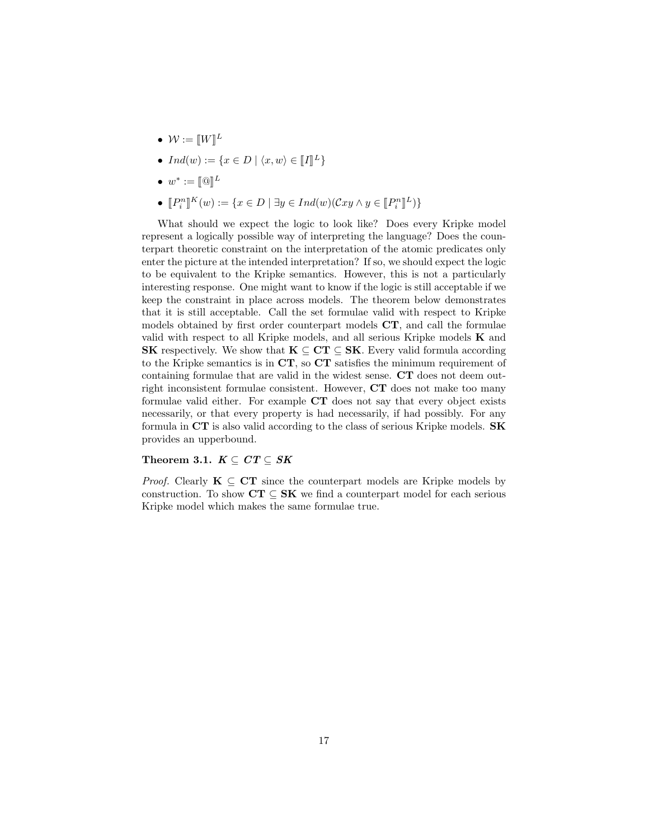- $\bullet \, \mathcal{W} := [\![W]\!]^L$
- $Ind(w) := \{x \in D \mid \langle x, w \rangle \in [I]^L\}$
- $w^* := [\![\mathbb{Q}]\!]^L$
- $[P_i^n]^{K}(w) := \{x \in D \mid \exists y \in Ind(w)(\mathcal{C}xy \land y \in [P_i^n]^{L})\}$

What should we expect the logic to look like? Does every Kripke model represent a logically possible way of interpreting the language? Does the counterpart theoretic constraint on the interpretation of the atomic predicates only enter the picture at the intended interpretation? If so, we should expect the logic to be equivalent to the Kripke semantics. However, this is not a particularly interesting response. One might want to know if the logic is still acceptable if we keep the constraint in place across models. The theorem below demonstrates that it is still acceptable. Call the set formulae valid with respect to Kripke models obtained by first order counterpart models CT, and call the formulae valid with respect to all Kripke models, and all serious Kripke models  $K$  and **SK** respectively. We show that  $K \subseteq CT \subseteq SK$ . Every valid formula according to the Kripke semantics is in  $CT$ , so  $CT$  satisfies the minimum requirement of containing formulae that are valid in the widest sense. CT does not deem outright inconsistent formulae consistent. However, CT does not make too many formulae valid either. For example CT does not say that every object exists necessarily, or that every property is had necessarily, if had possibly. For any formula in CT is also valid according to the class of serious Kripke models. SK provides an upperbound.

## Theorem 3.1.  $K \subseteq CT \subseteq SK$

*Proof.* Clearly  $\mathbf{K} \subseteq \mathbf{CT}$  since the counterpart models are Kripke models by construction. To show  $CT \subseteq SK$  we find a counterpart model for each serious Kripke model which makes the same formulae true.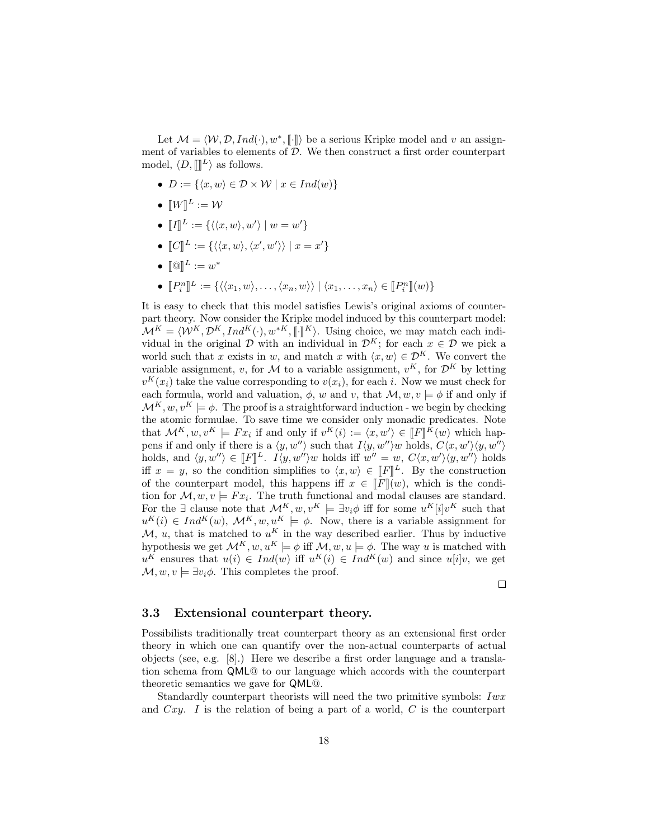Let  $\mathcal{M} = \langle \mathcal{W}, \mathcal{D}, Ind(\cdot), w^*, \llbracket \cdot \rrbracket \rangle$  be a serious Kripke model and v an assign-<br>at of variables to clomate of  $\mathcal{D}$ . We then construct a first order counterpart ment of variables to elements of  $D$ . We then construct a first order counterpart model,  $\langle D, \mathbb{I} \mathbb{I}^L \rangle$  as follows.

- $D := \{ \langle x, w \rangle \in \mathcal{D} \times \mathcal{W} \mid x \in Ind(w) \}$
- $\bullet \: [W]^L := \mathcal{W}$
- $\llbracket I \rrbracket^L := \{ \langle \langle x, w \rangle, w' \rangle \mid w = w' \}$
- $\llbracket C \rrbracket^L := \{ \langle \langle x, w \rangle, \langle x', w' \rangle \rangle \mid x = x' \}$
- $[\mathbb{Q}]^L := w^*$
- $[P_i^n]$   $L' := \{ \langle \langle x_1, w \rangle, \ldots, \langle x_n, w \rangle \rangle \mid \langle x_1, \ldots, x_n \rangle \in [P_i^n] (w) \}$

It is easy to check that this model satisfies Lewis's original axioms of counterpart theory. Now consider the Kripke model induced by this counterpart model:  $\mathcal{M}^K = \langle \mathcal{W}^K, \mathcal{D}^K, Ind^K(\cdot), w^{*K}, \llbracket \cdot \rrbracket^K \rangle$ . Using choice, we may match each individual in the original D with an individual in  $\mathcal{D}^K$ ; for each  $x \in \mathcal{D}$  we pick a world such that x exists in w, and match x with  $\langle x, w \rangle \in \mathcal{D}^K$ . We convert the variable assignment, v, for M to a variable assignment,  $v^K$ , for  $\mathcal{D}^K$  by letting  $v^{K}(x_i)$  take the value corresponding to  $v(x_i)$ , for each i. Now we must check for each formula, world and valuation,  $\phi$ , w and v, that  $\mathcal{M}, w, v \models \phi$  if and only if  $\mathcal{M}^K, w, v^K \models \phi$ . The proof is a straightforward induction - we begin by checking the atomic formulae. To save time we consider only monadic predicates. Note that  $\mathcal{M}^K, w, v^K \models F x_i$  if and only if  $v^K(i) := \langle x, w' \rangle \in [\![F]\!]^K(w)$  which hap-<br>pape if and only if there is a *(w w''*) such that  $L(u, w''')$  upholds  $C(x, w')/u, w''$ pens if and only if there is a  $\langle y, w'' \rangle$  such that  $I(y, w'')w$  holds,  $C\langle x, w' \rangle \langle y, w'' \rangle$ holds, and  $\langle y, w'' \rangle \in [F]^L$ .  $I \langle y, w'' \rangle w$  holds iff  $w'' = w$ ,  $C \langle x, w' \rangle \langle y, w'' \rangle$  holds iff  $x = w$ , so the condition simplifies to  $\langle x, w \rangle \in [F]^L$ . By the construction iff  $x = y$ , so the condition simplifies to  $\langle x, w \rangle \in [F]^L$ . By the construction<br>of the counterpart model, this happens iff  $x \in [F](w)$  which is the condiof the counterpart model, this happens iff  $x \in [F](w)$ , which is the condition for  $\mathcal{M}, w, v \models F x_i$ . The truth functional and modal clauses are standard. For the  $\exists$  clause note that  $\mathcal{M}^K, w, v^K \models \exists v_i \phi$  iff for some  $u^K[i]v^K$  such that  $u^K(i) \in Ind^K(w), \mathcal{M}^K, w, u^K \models \phi$ . Now, there is a variable assignment for M, u, that is matched to  $u^K$  in the way described earlier. Thus by inductive hypothesis we get  $\mathcal{M}^K$ ,  $w, u^K \models \phi$  iff  $\mathcal{M}, w, u \models \phi$ . The way u is matched with  $u^K$  ensures that  $u(i) \in Ind(w)$  iff  $u^K(i) \in Ind^K(w)$  and since  $u[i]v$ , we get  $\mathcal{M}, w, v \models \exists v_i \phi$ . This completes the proof.

 $\Box$ 

#### 3.3 Extensional counterpart theory.

Possibilists traditionally treat counterpart theory as an extensional first order theory in which one can quantify over the non-actual counterparts of actual objects (see, e.g. [8].) Here we describe a first order language and a translation schema from QML@ to our language which accords with the counterpart theoretic semantics we gave for QML@.

Standardly counterpart theorists will need the two primitive symbols:  $Iwx$ and  $Cxy$ . I is the relation of being a part of a world, C is the counterpart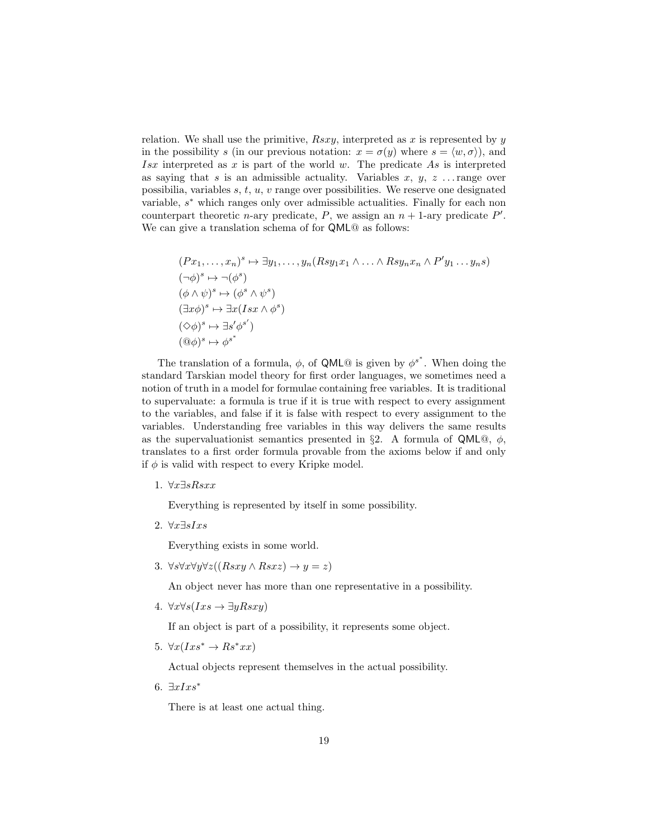relation. We shall use the primitive,  $Rsxy$ , interpreted as x is represented by y in the possibility s (in our previous notation:  $x = \sigma(y)$  where  $s = \langle w, \sigma \rangle$ ), and Isx interpreted as x is part of the world w. The predicate As is interpreted as saying that s is an admissible actuality. Variables  $x, y, z$ ... range over possibilia, variables  $s, t, u, v$  range over possibilities. We reserve one designated variable,  $s^*$  which ranges only over admissible actualities. Finally for each non counterpart theoretic *n*-ary predicate, *P*, we assign an  $n + 1$ -ary predicate *P'*. We can give a translation schema of for QML@ as follows:

$$
(Px_1, ..., x_n)^s \mapsto \exists y_1, ..., y_n (Rsy_1x_1 \wedge ... \wedge Rsy_nx_n \wedge P'y_1 ... y_n s)
$$
  
\n
$$
(\neg \phi)^s \mapsto \neg (\phi^s)
$$
  
\n
$$
(\phi \wedge \psi)^s \mapsto (\phi^s \wedge \psi^s)
$$
  
\n
$$
(\exists x \phi)^s \mapsto \exists x (Isx \wedge \phi^s)
$$
  
\n
$$
(\heartsuit \phi)^s \mapsto \exists s' \phi^{s'}
$$
  
\n
$$
(\Box \phi)^s \mapsto \phi^{s^*}
$$

The translation of a formula,  $\phi$ , of QML@ is given by  $\phi^{s^*}$ . When doing the standard Tarskian model theory for first order languages, we sometimes need a notion of truth in a model for formulae containing free variables. It is traditional to supervaluate: a formula is true if it is true with respect to every assignment to the variables, and false if it is false with respect to every assignment to the variables. Understanding free variables in this way delivers the same results as the supervaluationist semantics presented in §2. A formula of QML $@$ ,  $\phi$ , translates to a first order formula provable from the axioms below if and only if  $\phi$  is valid with respect to every Kripke model.

1. ∀x∃sRsxx

Everything is represented by itself in some possibility.

2. ∀ $x\exists sIxs$ 

Everything exists in some world.

3.  $\forall s \forall x \forall y \forall z ((Rsxy \land Rsxz) \rightarrow y = z)$ 

An object never has more than one representative in a possibility.

4.  $\forall x \forall s (Ixs \rightarrow \exists y Rsxy)$ 

If an object is part of a possibility, it represents some object.

5.  $\forall x (Ixs^* \rightarrow Rs^*xx)$ 

Actual objects represent themselves in the actual possibility.

6.  $\exists x I x s^*$ 

There is at least one actual thing.